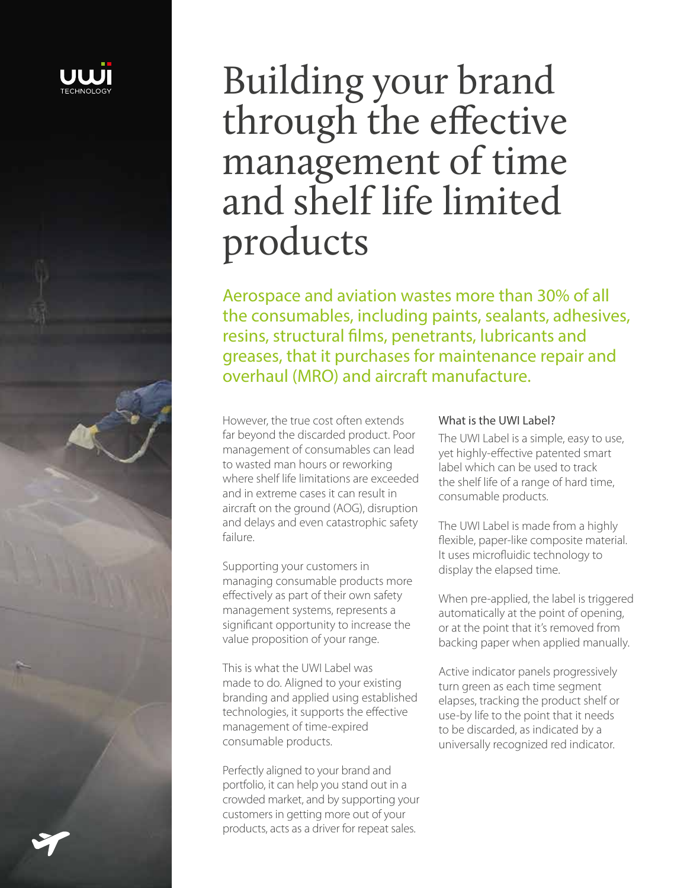

# Building your brand through the effective management of time and shelf life limited products

Aerospace and aviation wastes more than 30% of all the consumables, including paints, sealants, adhesives, resins, structural films, penetrants, lubricants and greases, that it purchases for maintenance repair and overhaul (MRO) and aircraft manufacture.

However, the true cost often extends far beyond the discarded product. Poor management of consumables can lead to wasted man hours or reworking where shelf life limitations are exceeded and in extreme cases it can result in aircraft on the ground (AOG), disruption and delays and even catastrophic safety failure.

Supporting your customers in managing consumable products more effectively as part of their own safety management systems, represents a significant opportunity to increase the value proposition of your range.

This is what the UWI Label was made to do. Aligned to your existing branding and applied using established technologies, it supports the effective management of time-expired consumable products.

Perfectly aligned to your brand and portfolio, it can help you stand out in a crowded market, and by supporting your customers in getting more out of your products, acts as a driver for repeat sales.

#### What is the UWI Label?

The UWI Label is a simple, easy to use, yet highly-effective patented smart label which can be used to track the shelf life of a range of hard time, consumable products.

The UWI Label is made from a highly flexible, paper-like composite material. It uses microfluidic technology to display the elapsed time.

When pre-applied, the label is triggered automatically at the point of opening, or at the point that it's removed from backing paper when applied manually.

Active indicator panels progressively turn green as each time segment elapses, tracking the product shelf or use-by life to the point that it needs to be discarded, as indicated by a universally recognized red indicator.